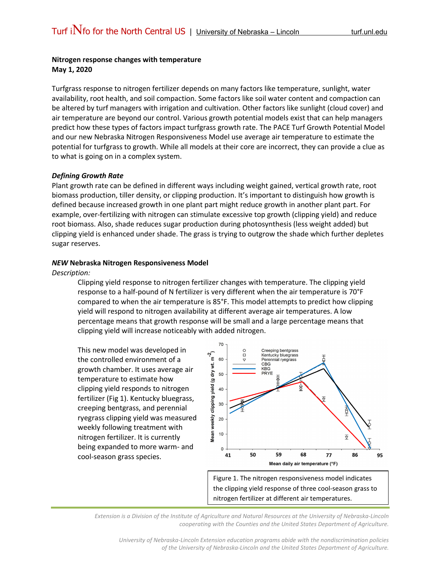## **Nitrogen response changes with temperature May 1, 2020**

Turfgrass response to nitrogen fertilizer depends on many factors like temperature, sunlight, water availability, root health, and soil compaction. Some factors like soil water content and compaction can be altered by turf managers with irrigation and cultivation. Other factors like sunlight (cloud cover) and air temperature are beyond our control. Various growth potential models exist that can help managers predict how these types of factors impact turfgrass growth rate. The PACE Turf Growth Potential Model and our new Nebraska Nitrogen Responsiveness Model use average air temperature to estimate the potential for turfgrass to growth. While all models at their core are incorrect, they can provide a clue as to what is going on in a complex system.

## *Defining Growth Rate*

Plant growth rate can be defined in different ways including weight gained, vertical growth rate, root biomass production, tiller density, or clipping production. It's important to distinguish how growth is defined because increased growth in one plant part might reduce growth in another plant part. For example, over-fertilizing with nitrogen can stimulate excessive top growth (clipping yield) and reduce root biomass. Also, shade reduces sugar production during photosynthesis (less weight added) but clipping yield is enhanced under shade. The grass is trying to outgrow the shade which further depletes sugar reserves.

## *NEW* **Nebraska Nitrogen Responsiveness Model**

*Description:* 

Clipping yield response to nitrogen fertilizer changes with temperature. The clipping yield response to a half-pound of N fertilizer is very different when the air temperature is 70°F compared to when the air temperature is 85°F. This model attempts to predict how clipping yield will respond to nitrogen availability at different average air temperatures. A low percentage means that growth response will be small and a large percentage means that clipping yield will increase noticeably with added nitrogen.

This new model was developed in the controlled environment of a growth chamber. It uses average air temperature to estimate how clipping yield responds to nitrogen fertilizer (Fig 1). Kentucky bluegrass, creeping bentgrass, and perennial ryegrass clipping yield was measured weekly following treatment with nitrogen fertilizer. It is currently being expanded to more warm- and cool-season grass species.



Figure 1. The nitrogen responsiveness model indicates the clipping yield response of three cool-season grass to nitrogen fertilizer at different air temperatures.

*Extension is a Division of the Institute of Agriculture and Natural Resources at the University of Nebraska-Lincoln cooperating with the Counties and the United States Department of Agriculture.*

*University of Nebraska-Lincoln Extension education programs abide with the nondiscrimination policies of the University of Nebraska-Lincoln and the United States Department of Agriculture.*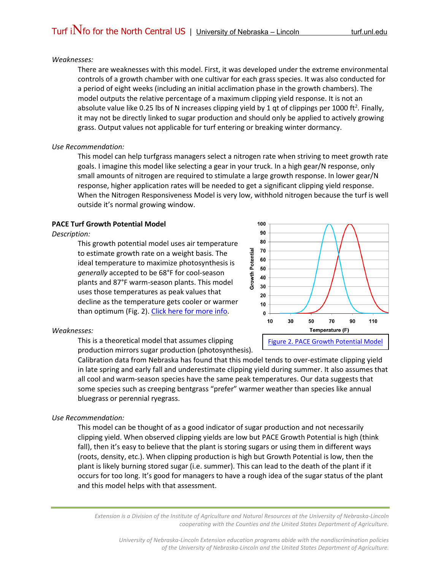### *Weaknesses:*

There are weaknesses with this model. First, it was developed under the extreme environmental controls of a growth chamber with one cultivar for each grass species. It was also conducted for a period of eight weeks (including an initial acclimation phase in the growth chambers). The model outputs the relative percentage of a maximum clipping yield response. It is not an absolute value like 0.25 lbs of N increases clipping yield by 1 qt of clippings per 1000 ft<sup>2</sup>. Finally, it may not be directly linked to sugar production and should only be applied to actively growing grass. Output values not applicable for turf entering or breaking winter dormancy.

## *Use Recommendation:*

This model can help turfgrass managers select a nitrogen rate when striving to meet growth rate goals. I imagine this model like selecting a gear in your truck. In a high gear/N response, only small amounts of nitrogen are required to stimulate a large growth response. In lower gear/N response, higher application rates will be needed to get a significant clipping yield response. When the Nitrogen Responsiveness Model is very low, withhold nitrogen because the turf is well outside it's normal growing window.

# **PACE Turf Growth Potential Model**

#### *Description:*

This growth potential model uses air temperature to estimate growth rate on a weight basis. The ideal temperature to maximize photosynthesis is *generally* accepted to be 68°F for cool-season plants and 87°F warm-season plants. This model uses those temperatures as peak values that decline as the temperature gets cooler or warmer than optimum (Fig. 2). [Click here for more info.](https://www.paceturf.org/PTRI/Documents/0401ref01.pdf)



# *Weaknesses:*

This is a theoretical model that assumes clipping production mirrors sugar production (photosynthesis).

Calibration data from Nebraska has found that this model tends to over-estimate clipping yield in late spring and early fall and underestimate clipping yield during summer. It also assumes that all cool and warm-season species have the same peak temperatures. Our data suggests that some species such as creeping bentgrass "prefer" warmer weather than species like annual bluegrass or perennial ryegrass.

### *Use Recommendation:*

This model can be thought of as a good indicator of sugar production and not necessarily clipping yield. When observed clipping yields are low but PACE Growth Potential is high (think fall), then it's easy to believe that the plant is storing sugars or using them in different ways (roots, density, etc.). When clipping production is high but Growth Potential is low, then the plant is likely burning stored sugar (i.e. summer). This can lead to the death of the plant if it occurs for too long. It's good for managers to have a rough idea of the sugar status of the plant and this model helps with that assessment.

*Extension is a Division of the Institute of Agriculture and Natural Resources at the University of Nebraska-Lincoln cooperating with the Counties and the United States Department of Agriculture.*

*University of Nebraska-Lincoln Extension education programs abide with the nondiscrimination policies of the University of Nebraska-Lincoln and the United States Department of Agriculture.*